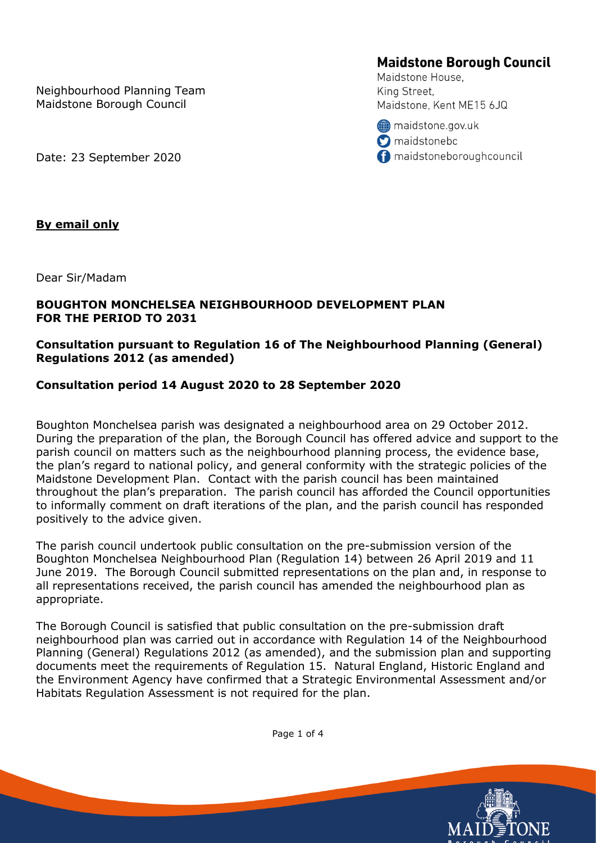Neighbourhood Planning Team Maidstone Borough Council

**Maidstone Borough Council** 

Maidstone House, King Street, Maidstone, Kent ME15 6JQ

maidstone.gov.uk **O** maidstonebc maidstoneboroughcouncil

Date: 23 September 2020

## **By email only**

Dear Sir/Madam

## **BOUGHTON MONCHELSEA NEIGHBOURHOOD DEVELOPMENT PLAN FOR THE PERIOD TO 2031**

## **Consultation pursuant to Regulation 16 of The Neighbourhood Planning (General) Regulations 2012 (as amended)**

## **Consultation period 14 August 2020 to 28 September 2020**

Boughton Monchelsea parish was designated a neighbourhood area on 29 October 2012. During the preparation of the plan, the Borough Council has offered advice and support to the parish council on matters such as the neighbourhood planning process, the evidence base, the plan's regard to national policy, and general conformity with the strategic policies of the Maidstone Development Plan. Contact with the parish council has been maintained throughout the plan's preparation. The parish council has afforded the Council opportunities to informally comment on draft iterations of the plan, and the parish council has responded positively to the advice given.

The parish council undertook public consultation on the pre-submission version of the Boughton Monchelsea Neighbourhood Plan (Regulation 14) between 26 April 2019 and 11 June 2019. The Borough Council submitted representations on the plan and, in response to all representations received, the parish council has amended the neighbourhood plan as appropriate.

The Borough Council is satisfied that public consultation on the pre-submission draft neighbourhood plan was carried out in accordance with Regulation 14 of the Neighbourhood Planning (General) Regulations 2012 (as amended), and the submission plan and supporting documents meet the requirements of Regulation 15. Natural England, Historic England and the Environment Agency have confirmed that a Strategic Environmental Assessment and/or Habitats Regulation Assessment is not required for the plan.



Page 1 of 4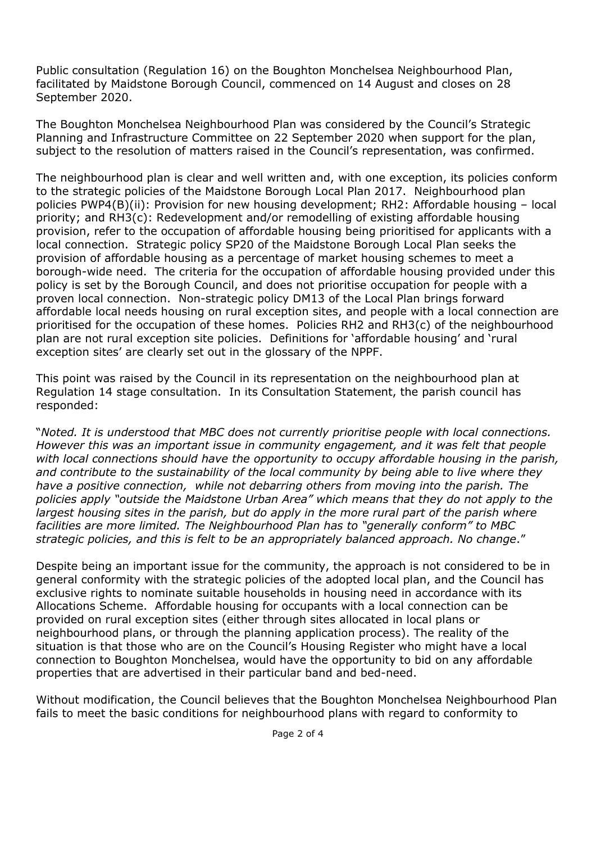Public consultation (Regulation 16) on the Boughton Monchelsea Neighbourhood Plan, facilitated by Maidstone Borough Council, commenced on 14 August and closes on 28 September 2020.

The Boughton Monchelsea Neighbourhood Plan was considered by the Council's Strategic Planning and Infrastructure Committee on 22 September 2020 when support for the plan, subject to the resolution of matters raised in the Council's representation, was confirmed.

The neighbourhood plan is clear and well written and, with one exception, its policies conform to the strategic policies of the Maidstone Borough Local Plan 2017. Neighbourhood plan policies PWP4(B)(ii): Provision for new housing development; RH2: Affordable housing – local priority; and RH3(c): Redevelopment and/or remodelling of existing affordable housing provision, refer to the occupation of affordable housing being prioritised for applicants with a local connection. Strategic policy SP20 of the Maidstone Borough Local Plan seeks the provision of affordable housing as a percentage of market housing schemes to meet a borough-wide need. The criteria for the occupation of affordable housing provided under this policy is set by the Borough Council, and does not prioritise occupation for people with a proven local connection. Non-strategic policy DM13 of the Local Plan brings forward affordable local needs housing on rural exception sites, and people with a local connection are prioritised for the occupation of these homes. Policies RH2 and RH3(c) of the neighbourhood plan are not rural exception site policies. Definitions for 'affordable housing' and 'rural exception sites' are clearly set out in the glossary of the NPPF.

This point was raised by the Council in its representation on the neighbourhood plan at Regulation 14 stage consultation. In its Consultation Statement, the parish council has responded:

"*Noted. It is understood that MBC does not currently prioritise people with local connections. However this was an important issue in community engagement, and it was felt that people*  with local connections should have the opportunity to occupy affordable housing in the parish, *and contribute to the sustainability of the local community by being able to live where they have a positive connection, while not debarring others from moving into the parish. The policies apply "outside the Maidstone Urban Area" which means that they do not apply to the*  largest housing sites in the parish, but do apply in the more rural part of the parish where *facilities are more limited. The Neighbourhood Plan has to "generally conform" to MBC strategic policies, and this is felt to be an appropriately balanced approach. No change*."

Despite being an important issue for the community, the approach is not considered to be in general conformity with the strategic policies of the adopted local plan, and the Council has exclusive rights to nominate suitable households in housing need in accordance with its Allocations Scheme. Affordable housing for occupants with a local connection can be provided on rural exception sites (either through sites allocated in local plans or neighbourhood plans, or through the planning application process). The reality of the situation is that those who are on the Council's Housing Register who might have a local connection to Boughton Monchelsea, would have the opportunity to bid on any affordable properties that are advertised in their particular band and bed-need.

Without modification, the Council believes that the Boughton Monchelsea Neighbourhood Plan fails to meet the basic conditions for neighbourhood plans with regard to conformity to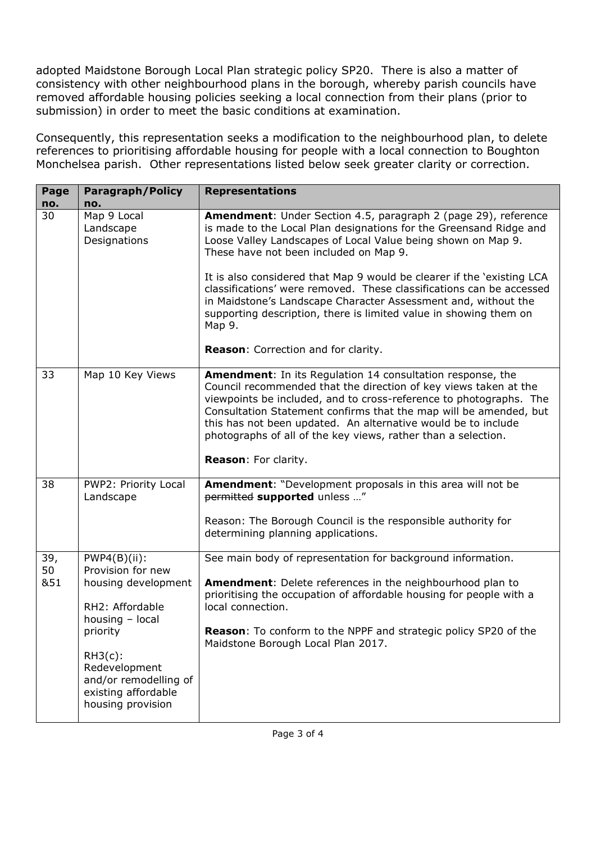adopted Maidstone Borough Local Plan strategic policy SP20. There is also a matter of consistency with other neighbourhood plans in the borough, whereby parish councils have removed affordable housing policies seeking a local connection from their plans (prior to submission) in order to meet the basic conditions at examination.

Consequently, this representation seeks a modification to the neighbourhood plan, to delete references to prioritising affordable housing for people with a local connection to Boughton Monchelsea parish. Other representations listed below seek greater clarity or correction.

| Page<br>no.      | <b>Paragraph/Policy</b><br>no.                                                                                                                                                                                    | <b>Representations</b>                                                                                                                                                                                                                                                                                                                                                                                                                                                                                                                            |
|------------------|-------------------------------------------------------------------------------------------------------------------------------------------------------------------------------------------------------------------|---------------------------------------------------------------------------------------------------------------------------------------------------------------------------------------------------------------------------------------------------------------------------------------------------------------------------------------------------------------------------------------------------------------------------------------------------------------------------------------------------------------------------------------------------|
| 30               | Map 9 Local<br>Landscape<br>Designations                                                                                                                                                                          | Amendment: Under Section 4.5, paragraph 2 (page 29), reference<br>is made to the Local Plan designations for the Greensand Ridge and<br>Loose Valley Landscapes of Local Value being shown on Map 9.<br>These have not been included on Map 9.<br>It is also considered that Map 9 would be clearer if the 'existing LCA<br>classifications' were removed. These classifications can be accessed<br>in Maidstone's Landscape Character Assessment and, without the<br>supporting description, there is limited value in showing them on<br>Map 9. |
|                  |                                                                                                                                                                                                                   | Reason: Correction and for clarity.                                                                                                                                                                                                                                                                                                                                                                                                                                                                                                               |
| 33               | Map 10 Key Views                                                                                                                                                                                                  | Amendment: In its Regulation 14 consultation response, the<br>Council recommended that the direction of key views taken at the<br>viewpoints be included, and to cross-reference to photographs. The<br>Consultation Statement confirms that the map will be amended, but<br>this has not been updated. An alternative would be to include<br>photographs of all of the key views, rather than a selection.<br>Reason: For clarity.                                                                                                               |
| 38               | PWP2: Priority Local<br>Landscape                                                                                                                                                                                 | Amendment: "Development proposals in this area will not be<br>permitted supported unless "                                                                                                                                                                                                                                                                                                                                                                                                                                                        |
|                  |                                                                                                                                                                                                                   | Reason: The Borough Council is the responsible authority for<br>determining planning applications.                                                                                                                                                                                                                                                                                                                                                                                                                                                |
| 39,<br>50<br>&51 | $PWP4(B)(ii)$ :<br>Provision for new<br>housing development<br>RH2: Affordable<br>housing - local<br>priority<br>$RH3(c)$ :<br>Redevelopment<br>and/or remodelling of<br>existing affordable<br>housing provision | See main body of representation for background information.<br><b>Amendment:</b> Delete references in the neighbourhood plan to<br>prioritising the occupation of affordable housing for people with a<br>local connection.<br>Reason: To conform to the NPPF and strategic policy SP20 of the<br>Maidstone Borough Local Plan 2017.                                                                                                                                                                                                              |